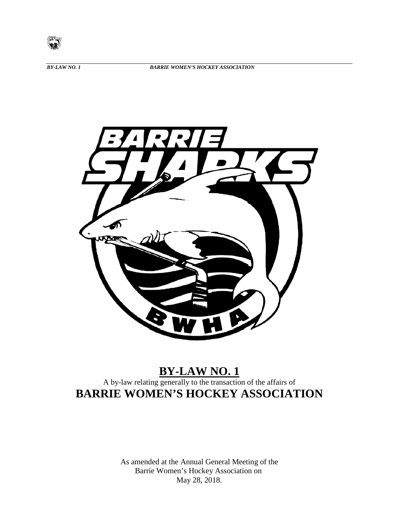



# **BY-LAW NO. 1** A by-law relating generally to the transaction of the affairs of **BARRIE WOMEN'S HOCKEY ASSOCIATION**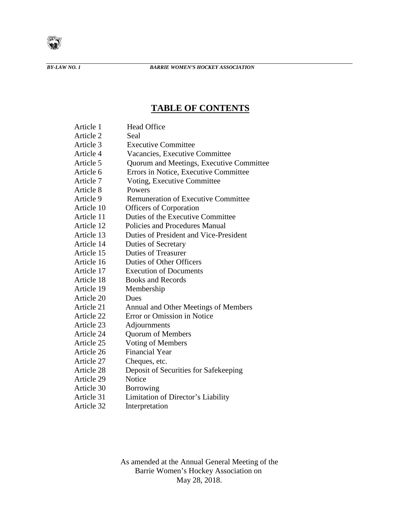

## **TABLE OF CONTENTS**

| Article 1  | <b>Head Office</b>                         |
|------------|--------------------------------------------|
| Article 2  | Seal                                       |
| Article 3  | <b>Executive Committee</b>                 |
| Article 4  | Vacancies, Executive Committee             |
| Article 5  | Quorum and Meetings, Executive Committee   |
| Article 6  | Errors in Notice, Executive Committee      |
| Article 7  | Voting, Executive Committee                |
| Article 8  | Powers                                     |
| Article 9  | <b>Remuneration of Executive Committee</b> |
| Article 10 | <b>Officers of Corporation</b>             |
| Article 11 | Duties of the Executive Committee          |
| Article 12 | Policies and Procedures Manual             |
| Article 13 | Duties of President and Vice-President     |
| Article 14 | <b>Duties of Secretary</b>                 |
| Article 15 | <b>Duties of Treasurer</b>                 |
| Article 16 | Duties of Other Officers                   |
| Article 17 | <b>Execution of Documents</b>              |
| Article 18 | <b>Books and Records</b>                   |
| Article 19 | Membership                                 |
| Article 20 | Dues                                       |
| Article 21 | Annual and Other Meetings of Members       |
| Article 22 | <b>Error or Omission in Notice</b>         |
| Article 23 | Adjournments                               |
| Article 24 | <b>Quorum of Members</b>                   |
| Article 25 | Voting of Members                          |
| Article 26 | <b>Financial Year</b>                      |
| Article 27 | Cheques, etc.                              |
| Article 28 | Deposit of Securities for Safekeeping      |
| Article 29 | Notice                                     |
| Article 30 | Borrowing                                  |
| Article 31 | Limitation of Director's Liability         |
| Article 32 | Interpretation                             |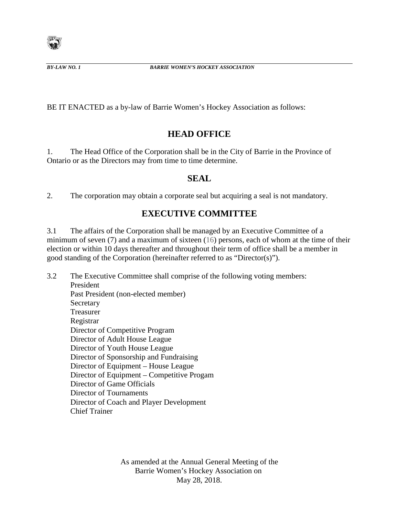

BE IT ENACTED as a by-law of Barrie Women's Hockey Association as follows:

## **HEAD OFFICE**

1. The Head Office of the Corporation shall be in the City of Barrie in the Province of Ontario or as the Directors may from time to time determine.

#### **SEAL**

2. The corporation may obtain a corporate seal but acquiring a seal is not mandatory.

## **EXECUTIVE COMMITTEE**

3.1 The affairs of the Corporation shall be managed by an Executive Committee of a minimum of seven (7) and a maximum of sixteen (16) persons, each of whom at the time of their election or within 10 days thereafter and throughout their term of office shall be a member in good standing of the Corporation (hereinafter referred to as "Director(s)").

3.2 The Executive Committee shall comprise of the following voting members: President Past President (non-elected member) **Secretary Treasurer** Registrar Director of Competitive Program Director of Adult House League Director of Youth House League Director of Sponsorship and Fundraising Director of Equipment – House League Director of Equipment – Competitive Progam Director of Game Officials Director of Tournaments Director of Coach and Player Development Chief Trainer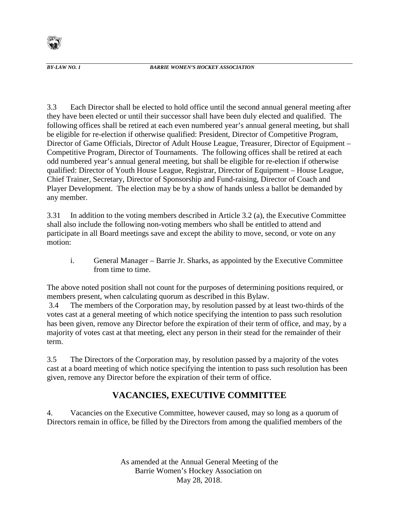

3.3 Each Director shall be elected to hold office until the second annual general meeting after they have been elected or until their successor shall have been duly elected and qualified. The following offices shall be retired at each even numbered year's annual general meeting, but shall be eligible for re-election if otherwise qualified: President, Director of Competitive Program, Director of Game Officials, Director of Adult House League, Treasurer, Director of Equipment – Competitive Program, Director of Tournaments. The following offices shall be retired at each odd numbered year's annual general meeting, but shall be eligible for re-election if otherwise qualified: Director of Youth House League, Registrar, Director of Equipment – House League, Chief Trainer, Secretary, Director of Sponsorship and Fund-raising, Director of Coach and Player Development. The election may be by a show of hands unless a ballot be demanded by any member.

3.31 In addition to the voting members described in Article 3.2 (a), the Executive Committee shall also include the following non-voting members who shall be entitled to attend and participate in all Board meetings save and except the ability to move, second, or vote on any motion:

i. General Manager – Barrie Jr. Sharks, as appointed by the Executive Committee from time to time.

The above noted position shall not count for the purposes of determining positions required, or members present, when calculating quorum as described in this Bylaw.

3.4 The members of the Corporation may, by resolution passed by at least two-thirds of the votes cast at a general meeting of which notice specifying the intention to pass such resolution has been given, remove any Director before the expiration of their term of office, and may, by a majority of votes cast at that meeting, elect any person in their stead for the remainder of their term.

3.5 The Directors of the Corporation may, by resolution passed by a majority of the votes cast at a board meeting of which notice specifying the intention to pass such resolution has been given, remove any Director before the expiration of their term of office.

# **VACANCIES, EXECUTIVE COMMITTEE**

4. Vacancies on the Executive Committee, however caused, may so long as a quorum of Directors remain in office, be filled by the Directors from among the qualified members of the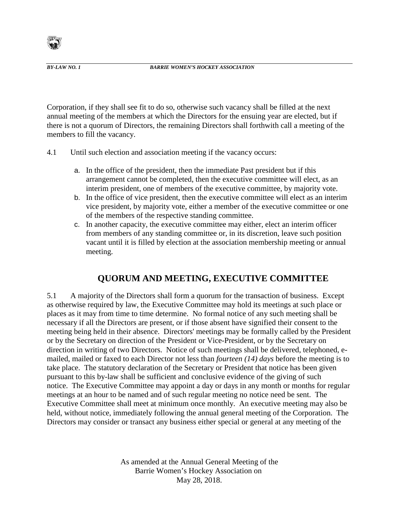

Corporation, if they shall see fit to do so, otherwise such vacancy shall be filled at the next annual meeting of the members at which the Directors for the ensuing year are elected, but if there is not a quorum of Directors, the remaining Directors shall forthwith call a meeting of the members to fill the vacancy.

- 4.1 Until such election and association meeting if the vacancy occurs:
	- a. In the office of the president, then the immediate Past president but if this arrangement cannot be completed, then the executive committee will elect, as an interim president, one of members of the executive committee, by majority vote.
	- b. In the office of vice president, then the executive committee will elect as an interim vice president, by majority vote, either a member of the executive committee or one of the members of the respective standing committee.
	- c. In another capacity, the executive committee may either, elect an interim officer from members of any standing committee or, in its discretion, leave such position vacant until it is filled by election at the association membership meeting or annual meeting.

## **QUORUM AND MEETING, EXECUTIVE COMMITTEE**

5.1 A majority of the Directors shall form a quorum for the transaction of business. Except as otherwise required by law, the Executive Committee may hold its meetings at such place or places as it may from time to time determine. No formal notice of any such meeting shall be necessary if all the Directors are present, or if those absent have signified their consent to the meeting being held in their absence. Directors' meetings may be formally called by the President or by the Secretary on direction of the President or Vice-President, or by the Secretary on direction in writing of two Directors. Notice of such meetings shall be delivered, telephoned, emailed, mailed or faxed to each Director not less than *fourteen (14) days* before the meeting is to take place. The statutory declaration of the Secretary or President that notice has been given pursuant to this by-law shall be sufficient and conclusive evidence of the giving of such notice. The Executive Committee may appoint a day or days in any month or months for regular meetings at an hour to be named and of such regular meeting no notice need be sent. The Executive Committee shall meet at minimum once monthly. An executive meeting may also be held, without notice, immediately following the annual general meeting of the Corporation. The Directors may consider or transact any business either special or general at any meeting of the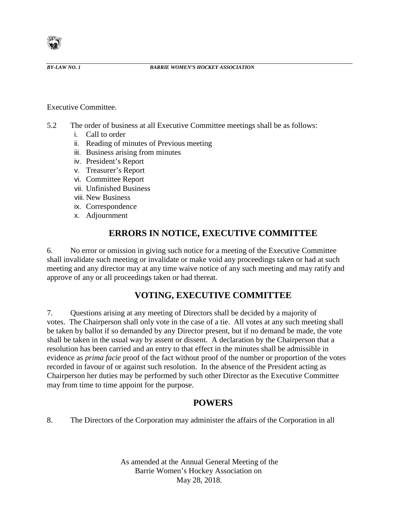

Executive Committee.

- 5.2 The order of business at all Executive Committee meetings shall be as follows:
	- i. Call to order
	- ii. Reading of minutes of Previous meeting
	- iii. Business arising from minutes
	- iv. President's Report
	- v. Treasurer's Report
	- vi. Committee Report
	- vii. Unfinished Business
	- viii. New Business
	- ix. Correspondence
	- x. Adjournment

## **ERRORS IN NOTICE, EXECUTIVE COMMITTEE**

6. No error or omission in giving such notice for a meeting of the Executive Committee shall invalidate such meeting or invalidate or make void any proceedings taken or had at such meeting and any director may at any time waive notice of any such meeting and may ratify and approve of any or all proceedings taken or had thereat.

#### **VOTING, EXECUTIVE COMMITTEE**

7. Questions arising at any meeting of Directors shall be decided by a majority of votes. The Chairperson shall only vote in the case of a tie. All votes at any such meeting shall be taken by ballot if so demanded by any Director present, but if no demand be made, the vote shall be taken in the usual way by assent or dissent. A declaration by the Chairperson that a resolution has been carried and an entry to that effect in the minutes shall be admissible in evidence as *prima facie* proof of the fact without proof of the number or proportion of the votes recorded in favour of or against such resolution. In the absence of the President acting as Chairperson her duties may be performed by such other Director as the Executive Committee may from time to time appoint for the purpose.

#### **POWERS**

8. The Directors of the Corporation may administer the affairs of the Corporation in all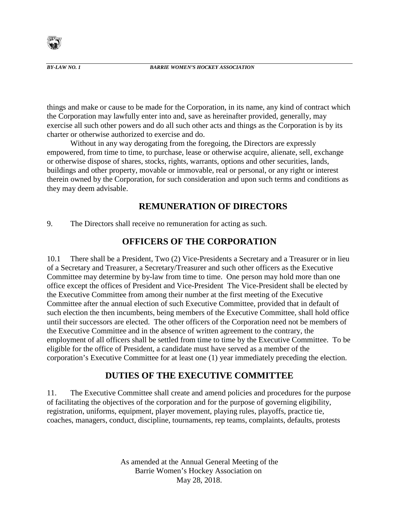

things and make or cause to be made for the Corporation, in its name, any kind of contract which the Corporation may lawfully enter into and, save as hereinafter provided, generally, may exercise all such other powers and do all such other acts and things as the Corporation is by its charter or otherwise authorized to exercise and do.

Without in any way derogating from the foregoing, the Directors are expressly empowered, from time to time, to purchase, lease or otherwise acquire, alienate, sell, exchange or otherwise dispose of shares, stocks, rights, warrants, options and other securities, lands, buildings and other property, movable or immovable, real or personal, or any right or interest therein owned by the Corporation, for such consideration and upon such terms and conditions as they may deem advisable.

### **REMUNERATION OF DIRECTORS**

9. The Directors shall receive no remuneration for acting as such.

## **OFFICERS OF THE CORPORATION**

10.1 There shall be a President, Two (2) Vice-Presidents a Secretary and a Treasurer or in lieu of a Secretary and Treasurer, a Secretary/Treasurer and such other officers as the Executive Committee may determine by by-law from time to time. One person may hold more than one office except the offices of President and Vice-President The Vice-President shall be elected by the Executive Committee from among their number at the first meeting of the Executive Committee after the annual election of such Executive Committee, provided that in default of such election the then incumbents, being members of the Executive Committee, shall hold office until their successors are elected. The other officers of the Corporation need not be members of the Executive Committee and in the absence of written agreement to the contrary, the employment of all officers shall be settled from time to time by the Executive Committee. To be eligible for the office of President, a candidate must have served as a member of the corporation's Executive Committee for at least one (1) year immediately preceding the election.

## **DUTIES OF THE EXECUTIVE COMMITTEE**

11. The Executive Committee shall create and amend policies and procedures for the purpose of facilitating the objectives of the corporation and for the purpose of governing eligibility, registration, uniforms, equipment, player movement, playing rules, playoffs, practice tie, coaches, managers, conduct, discipline, tournaments, rep teams, complaints, defaults, protests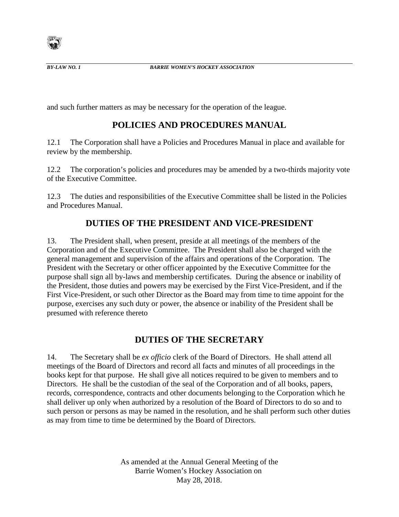

and such further matters as may be necessary for the operation of the league.

### **POLICIES AND PROCEDURES MANUAL**

12.1 The Corporation shall have a Policies and Procedures Manual in place and available for review by the membership.

12.2 The corporation's policies and procedures may be amended by a two-thirds majority vote of the Executive Committee.

12.3 The duties and responsibilities of the Executive Committee shall be listed in the Policies and Procedures Manual.

### **DUTIES OF THE PRESIDENT AND VICE-PRESIDENT**

13. The President shall, when present, preside at all meetings of the members of the Corporation and of the Executive Committee. The President shall also be charged with the general management and supervision of the affairs and operations of the Corporation. The President with the Secretary or other officer appointed by the Executive Committee for the purpose shall sign all by-laws and membership certificates. During the absence or inability of the President, those duties and powers may be exercised by the First Vice-President, and if the First Vice-President, or such other Director as the Board may from time to time appoint for the purpose, exercises any such duty or power, the absence or inability of the President shall be presumed with reference thereto

#### **DUTIES OF THE SECRETARY**

14. The Secretary shall be *ex officio* clerk of the Board of Directors. He shall attend all meetings of the Board of Directors and record all facts and minutes of all proceedings in the books kept for that purpose. He shall give all notices required to be given to members and to Directors. He shall be the custodian of the seal of the Corporation and of all books, papers, records, correspondence, contracts and other documents belonging to the Corporation which he shall deliver up only when authorized by a resolution of the Board of Directors to do so and to such person or persons as may be named in the resolution, and he shall perform such other duties as may from time to time be determined by the Board of Directors.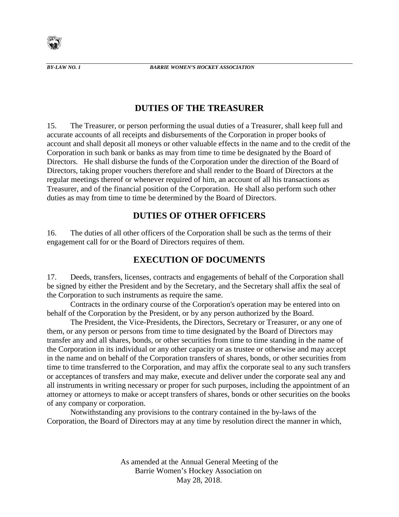

#### **DUTIES OF THE TREASURER**

15. The Treasurer, or person performing the usual duties of a Treasurer, shall keep full and accurate accounts of all receipts and disbursements of the Corporation in proper books of account and shall deposit all moneys or other valuable effects in the name and to the credit of the Corporation in such bank or banks as may from time to time be designated by the Board of Directors. He shall disburse the funds of the Corporation under the direction of the Board of Directors, taking proper vouchers therefore and shall render to the Board of Directors at the regular meetings thereof or whenever required of him, an account of all his transactions as Treasurer, and of the financial position of the Corporation. He shall also perform such other duties as may from time to time be determined by the Board of Directors.

#### **DUTIES OF OTHER OFFICERS**

16. The duties of all other officers of the Corporation shall be such as the terms of their engagement call for or the Board of Directors requires of them.

#### **EXECUTION OF DOCUMENTS**

17. Deeds, transfers, licenses, contracts and engagements of behalf of the Corporation shall be signed by either the President and by the Secretary, and the Secretary shall affix the seal of the Corporation to such instruments as require the same.

Contracts in the ordinary course of the Corporation's operation may be entered into on behalf of the Corporation by the President, or by any person authorized by the Board.

The President, the Vice-Presidents, the Directors, Secretary or Treasurer, or any one of them, or any person or persons from time to time designated by the Board of Directors may transfer any and all shares, bonds, or other securities from time to time standing in the name of the Corporation in its individual or any other capacity or as trustee or otherwise and may accept in the name and on behalf of the Corporation transfers of shares, bonds, or other securities from time to time transferred to the Corporation, and may affix the corporate seal to any such transfers or acceptances of transfers and may make, execute and deliver under the corporate seal any and all instruments in writing necessary or proper for such purposes, including the appointment of an attorney or attorneys to make or accept transfers of shares, bonds or other securities on the books of any company or corporation.

Notwithstanding any provisions to the contrary contained in the by-laws of the Corporation, the Board of Directors may at any time by resolution direct the manner in which,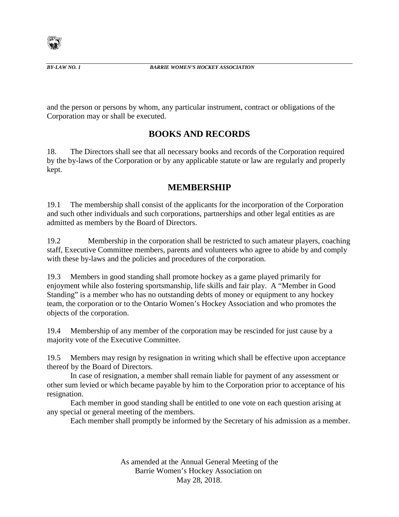

and the person or persons by whom, any particular instrument, contract or obligations of the Corporation may or shall be executed.

## **BOOKS AND RECORDS**

18. The Directors shall see that all necessary books and records of the Corporation required by the by-laws of the Corporation or by any applicable statute or law are regularly and properly kept.

## **MEMBERSHIP**

19.1 The membership shall consist of the applicants for the incorporation of the Corporation and such other individuals and such corporations, partnerships and other legal entities as are admitted as members by the Board of Directors.

19.2 Membership in the corporation shall be restricted to such amateur players, coaching staff, Executive Committee members, parents and volunteers who agree to abide by and comply with these by-laws and the policies and procedures of the corporation.

19.3 Members in good standing shall promote hockey as a game played primarily for enjoyment while also fostering sportsmanship, life skills and fair play. A "Member in Good Standing" is a member who has no outstanding debts of money or equipment to any hockey team, the corporation or to the Ontario Women's Hockey Association and who promotes the objects of the corporation.

19.4 Membership of any member of the corporation may be rescinded for just cause by a majority vote of the Executive Committee.

19.5 Members may resign by resignation in writing which shall be effective upon acceptance thereof by the Board of Directors.

In case of resignation, a member shall remain liable for payment of any assessment or other sum levied or which became payable by him to the Corporation prior to acceptance of his resignation.

Each member in good standing shall be entitled to one vote on each question arising at any special or general meeting of the members.

Each member shall promptly be informed by the Secretary of his admission as a member.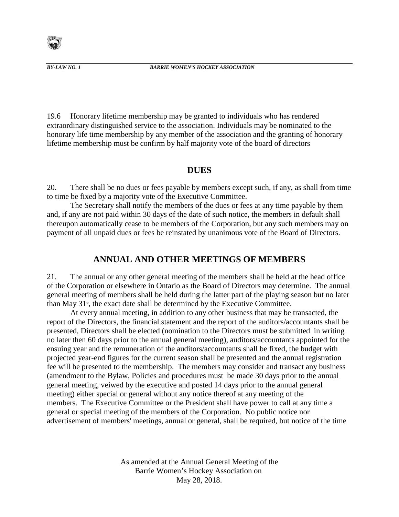

19.6 Honorary lifetime membership may be granted to individuals who has rendered extraordinary distinguished service to the association. Individuals may be nominated to the honorary life time membership by any member of the association and the granting of honorary lifetime membership must be confirm by half majority vote of the board of directors

#### **DUES**

20. There shall be no dues or fees payable by members except such, if any, as shall from time to time be fixed by a majority vote of the Executive Committee.

The Secretary shall notify the members of the dues or fees at any time payable by them and, if any are not paid within 30 days of the date of such notice, the members in default shall thereupon automatically cease to be members of the Corporation, but any such members may on payment of all unpaid dues or fees be reinstated by unanimous vote of the Board of Directors.

#### **ANNUAL AND OTHER MEETINGS OF MEMBERS**

21. The annual or any other general meeting of the members shall be held at the head office of the Corporation or elsewhere in Ontario as the Board of Directors may determine. The annual general meeting of members shall be held during the latter part of the playing season but no later than May  $31$ <sup>st</sup>, the exact date shall be determined by the Executive Committee.

At every annual meeting, in addition to any other business that may be transacted, the report of the Directors, the financial statement and the report of the auditors/accountants shall be presented, Directors shall be elected (nomination to the Directors must be submitted in writing no later then 60 days prior to the annual general meeting), auditors/accountants appointed for the ensuing year and the remuneration of the auditors/accountants shall be fixed, the budget with projected year-end figures for the current season shall be presented and the annual registration fee will be presented to the membership. The members may consider and transact any business (amendment to the Bylaw, Policies and procedures must be made 30 days prior to the annual general meeting, veiwed by the executive and posted 14 days prior to the annual general meeting) either special or general without any notice thereof at any meeting of the members. The Executive Committee or the President shall have power to call at any time a general or special meeting of the members of the Corporation. No public notice nor advertisement of members' meetings, annual or general, shall be required, but notice of the time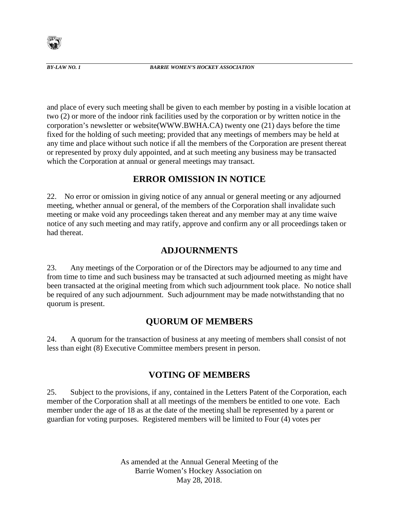

and place of every such meeting shall be given to each member by posting in a visible location at two (2) or more of the indoor rink facilities used by the corporation or by written notice in the corporation's newsletter or website(WWW.BWHA.CA) twenty one (21) days before the time fixed for the holding of such meeting; provided that any meetings of members may be held at any time and place without such notice if all the members of the Corporation are present thereat or represented by proxy duly appointed, and at such meeting any business may be transacted which the Corporation at annual or general meetings may transact.

### **ERROR OMISSION IN NOTICE**

22. No error or omission in giving notice of any annual or general meeting or any adjourned meeting, whether annual or general, of the members of the Corporation shall invalidate such meeting or make void any proceedings taken thereat and any member may at any time waive notice of any such meeting and may ratify, approve and confirm any or all proceedings taken or had thereat.

## **ADJOURNMENTS**

23. Any meetings of the Corporation or of the Directors may be adjourned to any time and from time to time and such business may be transacted at such adjourned meeting as might have been transacted at the original meeting from which such adjournment took place. No notice shall be required of any such adjournment. Such adjournment may be made notwithstanding that no quorum is present.

## **QUORUM OF MEMBERS**

24. A quorum for the transaction of business at any meeting of members shall consist of not less than eight (8) Executive Committee members present in person.

## **VOTING OF MEMBERS**

25. Subject to the provisions, if any, contained in the Letters Patent of the Corporation, each member of the Corporation shall at all meetings of the members be entitled to one vote. Each member under the age of 18 as at the date of the meeting shall be represented by a parent or guardian for voting purposes. Registered members will be limited to Four (4) votes per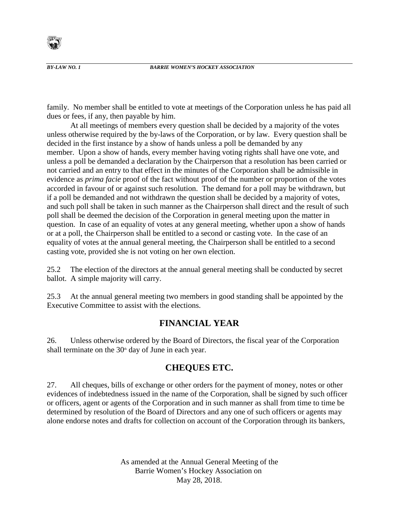

family. No member shall be entitled to vote at meetings of the Corporation unless he has paid all dues or fees, if any, then payable by him.

At all meetings of members every question shall be decided by a majority of the votes unless otherwise required by the by-laws of the Corporation, or by law. Every question shall be decided in the first instance by a show of hands unless a poll be demanded by any member. Upon a show of hands, every member having voting rights shall have one vote, and unless a poll be demanded a declaration by the Chairperson that a resolution has been carried or not carried and an entry to that effect in the minutes of the Corporation shall be admissible in evidence as *prima facie* proof of the fact without proof of the number or proportion of the votes accorded in favour of or against such resolution. The demand for a poll may be withdrawn, but if a poll be demanded and not withdrawn the question shall be decided by a majority of votes, and such poll shall be taken in such manner as the Chairperson shall direct and the result of such poll shall be deemed the decision of the Corporation in general meeting upon the matter in question. In case of an equality of votes at any general meeting, whether upon a show of hands or at a poll, the Chairperson shall be entitled to a second or casting vote. In the case of an equality of votes at the annual general meeting, the Chairperson shall be entitled to a second casting vote, provided she is not voting on her own election.

25.2 The election of the directors at the annual general meeting shall be conducted by secret ballot. A simple majority will carry.

25.3 At the annual general meeting two members in good standing shall be appointed by the Executive Committee to assist with the elections.

#### **FINANCIAL YEAR**

26. Unless otherwise ordered by the Board of Directors, the fiscal year of the Corporation shall terminate on the  $30<sup>th</sup>$  day of June in each year.

#### **CHEQUES ETC.**

27. All cheques, bills of exchange or other orders for the payment of money, notes or other evidences of indebtedness issued in the name of the Corporation, shall be signed by such officer or officers, agent or agents of the Corporation and in such manner as shall from time to time be determined by resolution of the Board of Directors and any one of such officers or agents may alone endorse notes and drafts for collection on account of the Corporation through its bankers,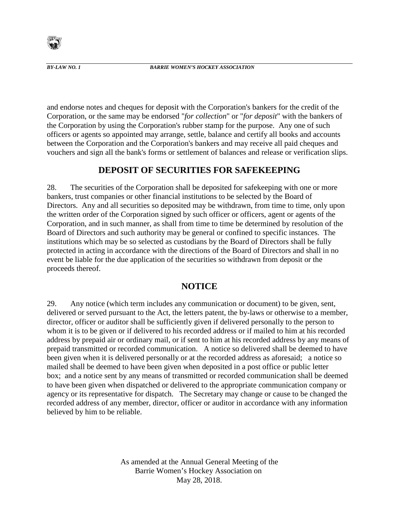

and endorse notes and cheques for deposit with the Corporation's bankers for the credit of the Corporation, or the same may be endorsed "*for collection*" or "*for deposit*" with the bankers of the Corporation by using the Corporation's rubber stamp for the purpose. Any one of such officers or agents so appointed may arrange, settle, balance and certify all books and accounts between the Corporation and the Corporation's bankers and may receive all paid cheques and vouchers and sign all the bank's forms or settlement of balances and release or verification slips.

#### **DEPOSIT OF SECURITIES FOR SAFEKEEPING**

28. The securities of the Corporation shall be deposited for safekeeping with one or more bankers, trust companies or other financial institutions to be selected by the Board of Directors. Any and all securities so deposited may be withdrawn, from time to time, only upon the written order of the Corporation signed by such officer or officers, agent or agents of the Corporation, and in such manner, as shall from time to time be determined by resolution of the Board of Directors and such authority may be general or confined to specific instances. The institutions which may be so selected as custodians by the Board of Directors shall be fully protected in acting in accordance with the directions of the Board of Directors and shall in no event be liable for the due application of the securities so withdrawn from deposit or the proceeds thereof.

#### **NOTICE**

29. Any notice (which term includes any communication or document) to be given, sent, delivered or served pursuant to the Act, the letters patent, the by-laws or otherwise to a member, director, officer or auditor shall be sufficiently given if delivered personally to the person to whom it is to be given or if delivered to his recorded address or if mailed to him at his recorded address by prepaid air or ordinary mail, or if sent to him at his recorded address by any means of prepaid transmitted or recorded communication. A notice so delivered shall be deemed to have been given when it is delivered personally or at the recorded address as aforesaid; a notice so mailed shall be deemed to have been given when deposited in a post office or public letter box; and a notice sent by any means of transmitted or recorded communication shall be deemed to have been given when dispatched or delivered to the appropriate communication company or agency or its representative for dispatch. The Secretary may change or cause to be changed the recorded address of any member, director, officer or auditor in accordance with any information believed by him to be reliable.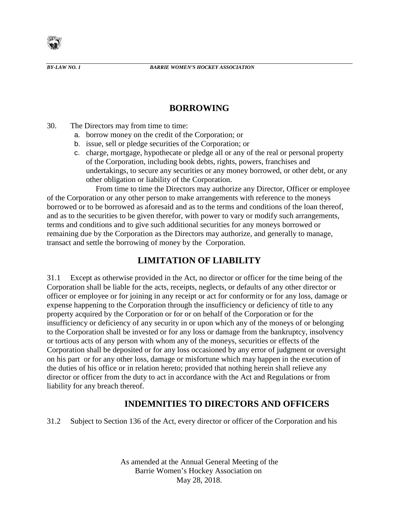

## **BORROWING**

30. The Directors may from time to time:

- a. borrow money on the credit of the Corporation; or
- b. issue, sell or pledge securities of the Corporation; or
- c. charge, mortgage, hypothecate or pledge all or any of the real or personal property of the Corporation, including book debts, rights, powers, franchises and undertakings, to secure any securities or any money borrowed, or other debt, or any other obligation or liability of the Corporation.

 From time to time the Directors may authorize any Director, Officer or employee of the Corporation or any other person to make arrangements with reference to the moneys borrowed or to be borrowed as aforesaid and as to the terms and conditions of the loan thereof, and as to the securities to be given therefor, with power to vary or modify such arrangements, terms and conditions and to give such additional securities for any moneys borrowed or remaining due by the Corporation as the Directors may authorize, and generally to manage, transact and settle the borrowing of money by the Corporation.

## **LIMITATION OF LIABILITY**

31.1 Except as otherwise provided in the Act, no director or officer for the time being of the Corporation shall be liable for the acts, receipts, neglects, or defaults of any other director or officer or employee or for joining in any receipt or act for conformity or for any loss, damage or expense happening to the Corporation through the insufficiency or deficiency of title to any property acquired by the Corporation or for or on behalf of the Corporation or for the insufficiency or deficiency of any security in or upon which any of the moneys of or belonging to the Corporation shall be invested or for any loss or damage from the bankruptcy, insolvency or tortious acts of any person with whom any of the moneys, securities or effects of the Corporation shall be deposited or for any loss occasioned by any error of judgment or oversight on his part or for any other loss, damage or misfortune which may happen in the execution of the duties of his office or in relation hereto; provided that nothing herein shall relieve any director or officer from the duty to act in accordance with the Act and Regulations or from liability for any breach thereof.

#### **INDEMNITIES TO DIRECTORS AND OFFICERS**

31.2 Subject to Section 136 of the Act, every director or officer of the Corporation and his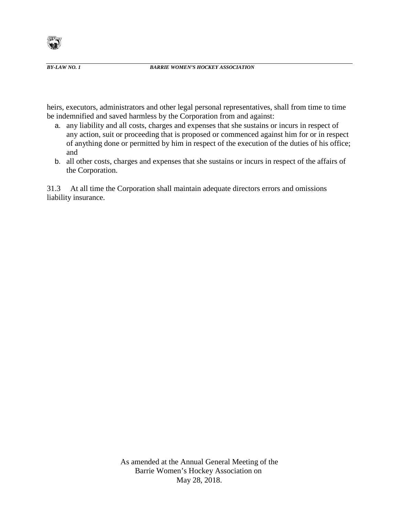

heirs, executors, administrators and other legal personal representatives, shall from time to time be indemnified and saved harmless by the Corporation from and against:

- a. any liability and all costs, charges and expenses that she sustains or incurs in respect of any action, suit or proceeding that is proposed or commenced against him for or in respect of anything done or permitted by him in respect of the execution of the duties of his office; and
- b. all other costs, charges and expenses that she sustains or incurs in respect of the affairs of the Corporation.

31.3 At all time the Corporation shall maintain adequate directors errors and omissions liability insurance.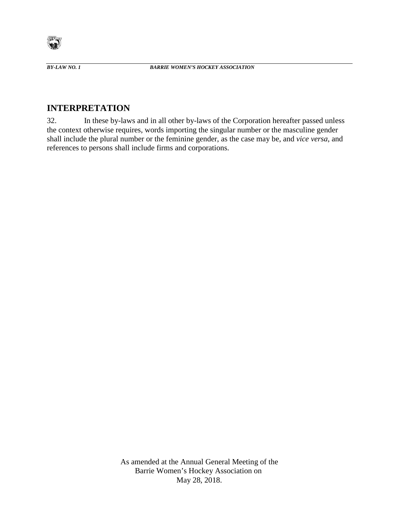

## **INTERPRETATION**

32. In these by-laws and in all other by-laws of the Corporation hereafter passed unless the context otherwise requires, words importing the singular number or the masculine gender shall include the plural number or the feminine gender, as the case may be, and *vice versa*, and references to persons shall include firms and corporations.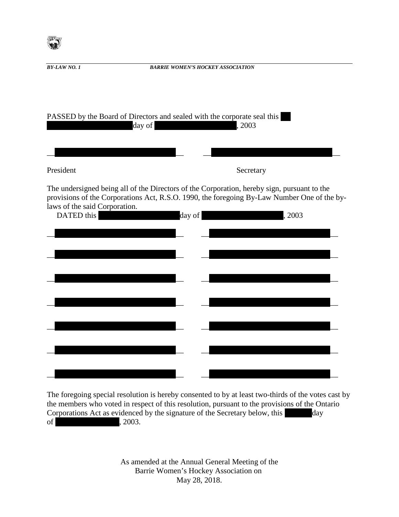

#### PASSED by the Board of Directors and sealed with the corporate seal this day of 3.2003



The undersigned being all of the Directors of the Corporation, hereby sign, pursuant to the provisions of the Corporations Act, R.S.O. 1990, the foregoing By-Law Number One of the bylaws of the said Corporation.

| DATED this<br><u> De Santa Carlos de Santa Carlos de Santa Carlos de Santa Carlos de Santa Carlos de Santa Carlos de Santa Car</u> | day of<br><u> Maria Alberta de Santa de Santa do Car</u> | , 2003 |
|------------------------------------------------------------------------------------------------------------------------------------|----------------------------------------------------------|--------|
|                                                                                                                                    |                                                          |        |
|                                                                                                                                    |                                                          |        |
|                                                                                                                                    |                                                          |        |
|                                                                                                                                    |                                                          |        |
|                                                                                                                                    |                                                          |        |
|                                                                                                                                    |                                                          |        |
|                                                                                                                                    |                                                          |        |
|                                                                                                                                    |                                                          |        |
|                                                                                                                                    |                                                          |        |
|                                                                                                                                    |                                                          |        |

The foregoing special resolution is hereby consented to by at least two-thirds of the votes cast by the members who voted in respect of this resolution, pursuant to the provisions of the Ontario Corporations Act as evidenced by the signature of the Secretary below, this day of , 2003.